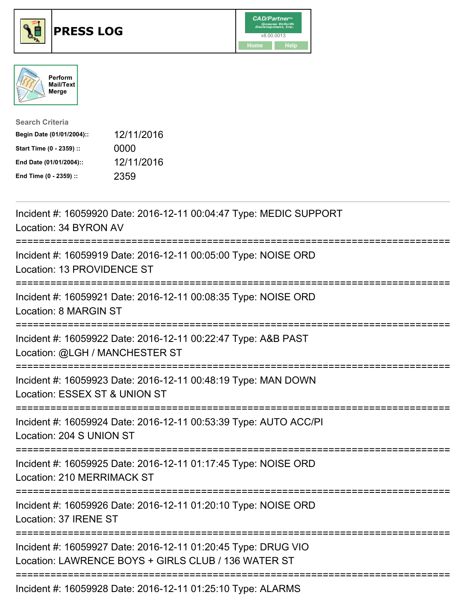





| <b>Search Criteria</b>    |            |
|---------------------------|------------|
| Begin Date (01/01/2004):: | 12/11/2016 |
| Start Time (0 - 2359) ::  | 0000       |
| End Date (01/01/2004)::   | 12/11/2016 |
| End Time (0 - 2359) ::    | 2359       |

| Incident #: 16059920 Date: 2016-12-11 00:04:47 Type: MEDIC SUPPORT<br>Location: 34 BYRON AV                          |
|----------------------------------------------------------------------------------------------------------------------|
| Incident #: 16059919 Date: 2016-12-11 00:05:00 Type: NOISE ORD<br>Location: 13 PROVIDENCE ST                         |
| Incident #: 16059921 Date: 2016-12-11 00:08:35 Type: NOISE ORD<br>Location: 8 MARGIN ST                              |
| Incident #: 16059922 Date: 2016-12-11 00:22:47 Type: A&B PAST<br>Location: @LGH / MANCHESTER ST                      |
| Incident #: 16059923 Date: 2016-12-11 00:48:19 Type: MAN DOWN<br>Location: ESSEX ST & UNION ST                       |
| Incident #: 16059924 Date: 2016-12-11 00:53:39 Type: AUTO ACC/PI<br>Location: 204 S UNION ST                         |
| Incident #: 16059925 Date: 2016-12-11 01:17:45 Type: NOISE ORD<br><b>Location: 210 MERRIMACK ST</b>                  |
| Incident #: 16059926 Date: 2016-12-11 01:20:10 Type: NOISE ORD<br>Location: 37 IRENE ST<br>-----------------------   |
| Incident #: 16059927 Date: 2016-12-11 01:20:45 Type: DRUG VIO<br>Location: LAWRENCE BOYS + GIRLS CLUB / 136 WATER ST |
| Incident #: 16059928 Date: 2016-12-11 01:25:10 Type: ALARMS                                                          |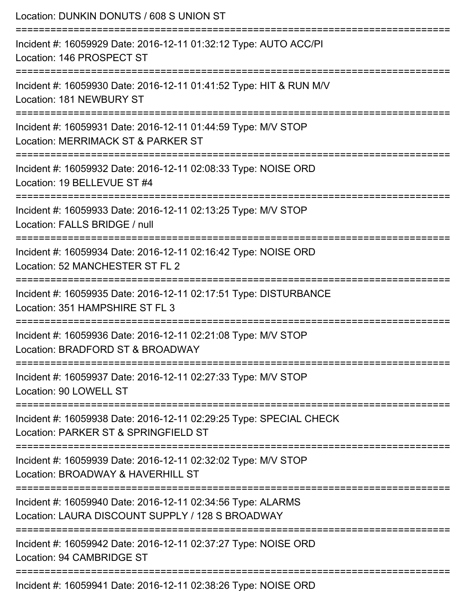| Location: DUNKIN DONUTS / 608 S UNION ST                                                                                |
|-------------------------------------------------------------------------------------------------------------------------|
| Incident #: 16059929 Date: 2016-12-11 01:32:12 Type: AUTO ACC/PI<br>Location: 146 PROSPECT ST                           |
| Incident #: 16059930 Date: 2016-12-11 01:41:52 Type: HIT & RUN M/V<br>Location: 181 NEWBURY ST                          |
| Incident #: 16059931 Date: 2016-12-11 01:44:59 Type: M/V STOP<br>Location: MERRIMACK ST & PARKER ST                     |
| :=====================<br>Incident #: 16059932 Date: 2016-12-11 02:08:33 Type: NOISE ORD<br>Location: 19 BELLEVUE ST #4 |
| Incident #: 16059933 Date: 2016-12-11 02:13:25 Type: M/V STOP<br>Location: FALLS BRIDGE / null                          |
| Incident #: 16059934 Date: 2016-12-11 02:16:42 Type: NOISE ORD<br>Location: 52 MANCHESTER ST FL 2                       |
| Incident #: 16059935 Date: 2016-12-11 02:17:51 Type: DISTURBANCE<br>Location: 351 HAMPSHIRE ST FL 3                     |
| Incident #: 16059936 Date: 2016-12-11 02:21:08 Type: M/V STOP<br>Location: BRADFORD ST & BROADWAY                       |
| Incident #: 16059937 Date: 2016-12-11 02:27:33 Type: M/V STOP<br>Location: 90 LOWELL ST                                 |
| Incident #: 16059938 Date: 2016-12-11 02:29:25 Type: SPECIAL CHECK<br>Location: PARKER ST & SPRINGFIELD ST              |
| Incident #: 16059939 Date: 2016-12-11 02:32:02 Type: M/V STOP<br>Location: BROADWAY & HAVERHILL ST                      |
| Incident #: 16059940 Date: 2016-12-11 02:34:56 Type: ALARMS<br>Location: LAURA DISCOUNT SUPPLY / 128 S BROADWAY         |
| Incident #: 16059942 Date: 2016-12-11 02:37:27 Type: NOISE ORD<br>Location: 94 CAMBRIDGE ST                             |
| Incident #: 16059941 Date: 2016-12-11 02:38:26 Type: NOISE ORD                                                          |

Incident #: 16059941 Date: 2016-12-11 02:38:26 Type: NOISE ORD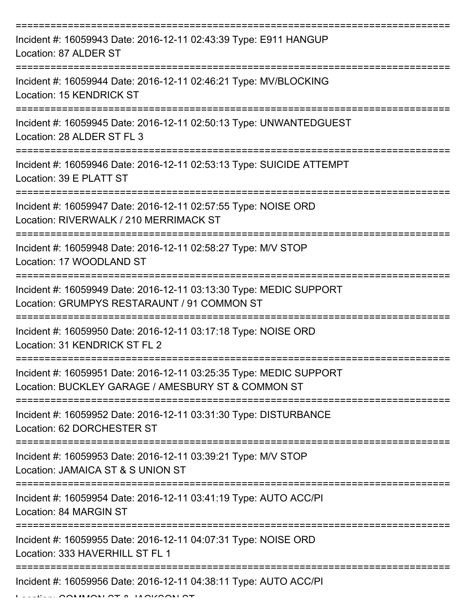| Incident #: 16059943 Date: 2016-12-11 02:43:39 Type: E911 HANGUP<br>Location: 87 ALDER ST                                |
|--------------------------------------------------------------------------------------------------------------------------|
| Incident #: 16059944 Date: 2016-12-11 02:46:21 Type: MV/BLOCKING<br>Location: 15 KENDRICK ST                             |
| Incident #: 16059945 Date: 2016-12-11 02:50:13 Type: UNWANTEDGUEST<br>Location: 28 ALDER ST FL 3                         |
| Incident #: 16059946 Date: 2016-12-11 02:53:13 Type: SUICIDE ATTEMPT<br>Location: 39 E PLATT ST                          |
| Incident #: 16059947 Date: 2016-12-11 02:57:55 Type: NOISE ORD<br>Location: RIVERWALK / 210 MERRIMACK ST                 |
| ==================<br>Incident #: 16059948 Date: 2016-12-11 02:58:27 Type: M/V STOP<br>Location: 17 WOODLAND ST          |
| Incident #: 16059949 Date: 2016-12-11 03:13:30 Type: MEDIC SUPPORT<br>Location: GRUMPYS RESTARAUNT / 91 COMMON ST        |
| Incident #: 16059950 Date: 2016-12-11 03:17:18 Type: NOISE ORD<br>Location: 31 KENDRICK ST FL 2                          |
| Incident #: 16059951 Date: 2016-12-11 03:25:35 Type: MEDIC SUPPORT<br>Location: BUCKLEY GARAGE / AMESBURY ST & COMMON ST |
| Incident #: 16059952 Date: 2016-12-11 03:31:30 Type: DISTURBANCE<br>Location: 62 DORCHESTER ST                           |
| Incident #: 16059953 Date: 2016-12-11 03:39:21 Type: M/V STOP<br>Location: JAMAICA ST & S UNION ST                       |
| Incident #: 16059954 Date: 2016-12-11 03:41:19 Type: AUTO ACC/PI<br>Location: 84 MARGIN ST                               |
| Incident #: 16059955 Date: 2016-12-11 04:07:31 Type: NOISE ORD<br>Location: 333 HAVERHILL ST FL 1                        |
| Incident #: 16059956 Date: 2016-12-11 04:38:11 Type: AUTO ACC/PI                                                         |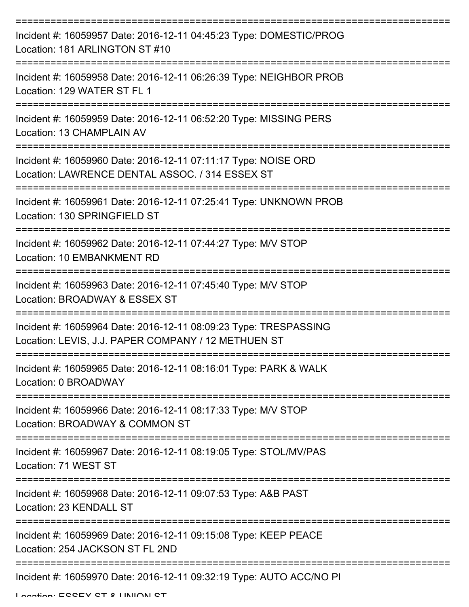| Incident #: 16059957 Date: 2016-12-11 04:45:23 Type: DOMESTIC/PROG<br>Location: 181 ARLINGTON ST #10                    |
|-------------------------------------------------------------------------------------------------------------------------|
| Incident #: 16059958 Date: 2016-12-11 06:26:39 Type: NEIGHBOR PROB<br>Location: 129 WATER ST FL 1                       |
| Incident #: 16059959 Date: 2016-12-11 06:52:20 Type: MISSING PERS<br><b>Location: 13 CHAMPLAIN AV</b>                   |
| Incident #: 16059960 Date: 2016-12-11 07:11:17 Type: NOISE ORD<br>Location: LAWRENCE DENTAL ASSOC. / 314 ESSEX ST       |
| Incident #: 16059961 Date: 2016-12-11 07:25:41 Type: UNKNOWN PROB<br>Location: 130 SPRINGFIELD ST                       |
| Incident #: 16059962 Date: 2016-12-11 07:44:27 Type: M/V STOP<br>Location: 10 EMBANKMENT RD<br>-------------            |
| Incident #: 16059963 Date: 2016-12-11 07:45:40 Type: M/V STOP<br>Location: BROADWAY & ESSEX ST                          |
| Incident #: 16059964 Date: 2016-12-11 08:09:23 Type: TRESPASSING<br>Location: LEVIS, J.J. PAPER COMPANY / 12 METHUEN ST |
| Incident #: 16059965 Date: 2016-12-11 08:16:01 Type: PARK & WALK<br>Location: 0 BROADWAY                                |
| Incident #: 16059966 Date: 2016-12-11 08:17:33 Type: M/V STOP<br>Location: BROADWAY & COMMON ST                         |
| Incident #: 16059967 Date: 2016-12-11 08:19:05 Type: STOL/MV/PAS<br>Location: 71 WEST ST                                |
| Incident #: 16059968 Date: 2016-12-11 09:07:53 Type: A&B PAST<br>Location: 23 KENDALL ST                                |
| Incident #: 16059969 Date: 2016-12-11 09:15:08 Type: KEEP PEACE<br>Location: 254 JACKSON ST FL 2ND                      |
| Incident #: 16059970 Date: 2016-12-11 09:32:19 Type: AUTO ACC/NO PI                                                     |

Location: ESSEY ST & HINHON ST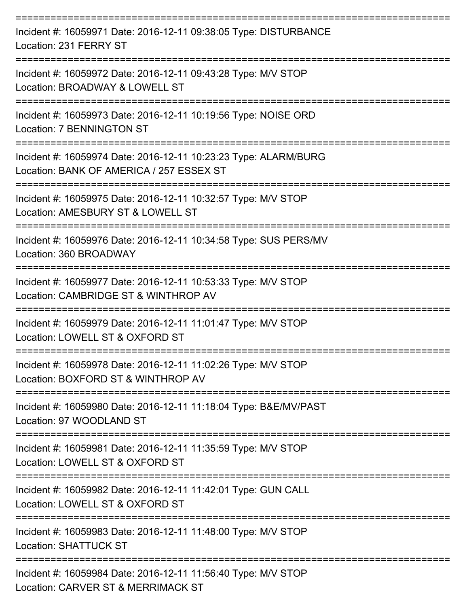| Incident #: 16059971 Date: 2016-12-11 09:38:05 Type: DISTURBANCE<br>Location: 231 FERRY ST                  |
|-------------------------------------------------------------------------------------------------------------|
| Incident #: 16059972 Date: 2016-12-11 09:43:28 Type: M/V STOP<br>Location: BROADWAY & LOWELL ST             |
| Incident #: 16059973 Date: 2016-12-11 10:19:56 Type: NOISE ORD<br>Location: 7 BENNINGTON ST                 |
| Incident #: 16059974 Date: 2016-12-11 10:23:23 Type: ALARM/BURG<br>Location: BANK OF AMERICA / 257 ESSEX ST |
| Incident #: 16059975 Date: 2016-12-11 10:32:57 Type: M/V STOP<br>Location: AMESBURY ST & LOWELL ST          |
| Incident #: 16059976 Date: 2016-12-11 10:34:58 Type: SUS PERS/MV<br>Location: 360 BROADWAY                  |
| Incident #: 16059977 Date: 2016-12-11 10:53:33 Type: M/V STOP<br>Location: CAMBRIDGE ST & WINTHROP AV       |
| Incident #: 16059979 Date: 2016-12-11 11:01:47 Type: M/V STOP<br>Location: LOWELL ST & OXFORD ST            |
| Incident #: 16059978 Date: 2016-12-11 11:02:26 Type: M/V STOP<br>Location: BOXFORD ST & WINTHROP AV         |
| Incident #: 16059980 Date: 2016-12-11 11:18:04 Type: B&E/MV/PAST<br>Location: 97 WOODLAND ST                |
| Incident #: 16059981 Date: 2016-12-11 11:35:59 Type: M/V STOP<br>Location: LOWELL ST & OXFORD ST            |
| Incident #: 16059982 Date: 2016-12-11 11:42:01 Type: GUN CALL<br>Location: LOWELL ST & OXFORD ST            |
| Incident #: 16059983 Date: 2016-12-11 11:48:00 Type: M/V STOP<br><b>Location: SHATTUCK ST</b>               |
| Incident #: 16059984 Date: 2016-12-11 11:56:40 Type: M/V STOP<br>Location: CARVER ST & MERRIMACK ST         |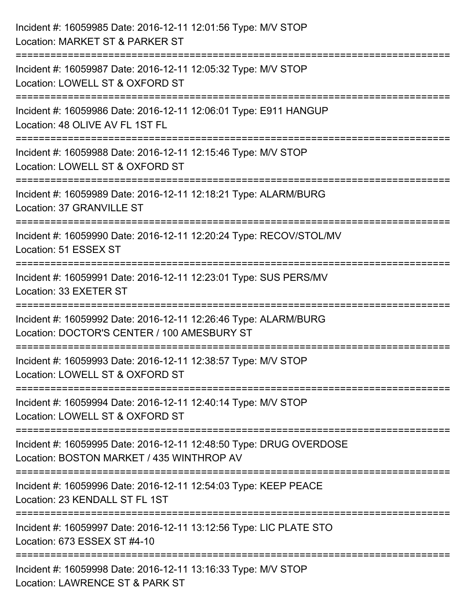| Incident #: 16059985 Date: 2016-12-11 12:01:56 Type: M/V STOP<br>Location: MARKET ST & PARKER ST                              |
|-------------------------------------------------------------------------------------------------------------------------------|
| =========================<br>Incident #: 16059987 Date: 2016-12-11 12:05:32 Type: M/V STOP<br>Location: LOWELL ST & OXFORD ST |
| Incident #: 16059986 Date: 2016-12-11 12:06:01 Type: E911 HANGUP<br>Location: 48 OLIVE AV FL 1ST FL<br>==================     |
| Incident #: 16059988 Date: 2016-12-11 12:15:46 Type: M/V STOP<br>Location: LOWELL ST & OXFORD ST                              |
| Incident #: 16059989 Date: 2016-12-11 12:18:21 Type: ALARM/BURG<br>Location: 37 GRANVILLE ST                                  |
| Incident #: 16059990 Date: 2016-12-11 12:20:24 Type: RECOV/STOL/MV<br>Location: 51 ESSEX ST                                   |
| Incident #: 16059991 Date: 2016-12-11 12:23:01 Type: SUS PERS/MV<br>Location: 33 EXETER ST<br>==============================  |
| Incident #: 16059992 Date: 2016-12-11 12:26:46 Type: ALARM/BURG<br>Location: DOCTOR'S CENTER / 100 AMESBURY ST                |
| Incident #: 16059993 Date: 2016-12-11 12:38:57 Type: M/V STOP<br>Location: LOWELL ST & OXFORD ST                              |
| Incident #: 16059994 Date: 2016-12-11 12:40:14 Type: M/V STOP<br>Location: LOWELL ST & OXFORD ST                              |
| Incident #: 16059995 Date: 2016-12-11 12:48:50 Type: DRUG OVERDOSE<br>Location: BOSTON MARKET / 435 WINTHROP AV               |
| Incident #: 16059996 Date: 2016-12-11 12:54:03 Type: KEEP PEACE<br>Location: 23 KENDALL ST FL 1ST                             |
| Incident #: 16059997 Date: 2016-12-11 13:12:56 Type: LIC PLATE STO<br>Location: 673 ESSEX ST #4-10                            |
| Incident #: 16059998 Date: 2016-12-11 13:16:33 Type: M/V STOP<br>Location: LAWRENCE ST & PARK ST                              |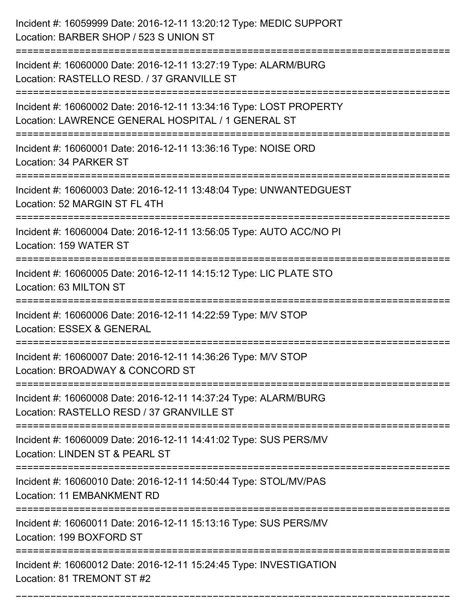| Incident #: 16059999 Date: 2016-12-11 13:20:12 Type: MEDIC SUPPORT<br>Location: BARBER SHOP / 523 S UNION ST                                        |
|-----------------------------------------------------------------------------------------------------------------------------------------------------|
| Incident #: 16060000 Date: 2016-12-11 13:27:19 Type: ALARM/BURG<br>Location: RASTELLO RESD. / 37 GRANVILLE ST                                       |
| Incident #: 16060002 Date: 2016-12-11 13:34:16 Type: LOST PROPERTY<br>Location: LAWRENCE GENERAL HOSPITAL / 1 GENERAL ST                            |
| Incident #: 16060001 Date: 2016-12-11 13:36:16 Type: NOISE ORD<br>Location: 34 PARKER ST                                                            |
| Incident #: 16060003 Date: 2016-12-11 13:48:04 Type: UNWANTEDGUEST<br>Location: 52 MARGIN ST FL 4TH                                                 |
| Incident #: 16060004 Date: 2016-12-11 13:56:05 Type: AUTO ACC/NO PI<br>Location: 159 WATER ST                                                       |
| Incident #: 16060005 Date: 2016-12-11 14:15:12 Type: LIC PLATE STO<br>Location: 63 MILTON ST                                                        |
| Incident #: 16060006 Date: 2016-12-11 14:22:59 Type: M/V STOP<br>Location: ESSEX & GENERAL                                                          |
| Incident #: 16060007 Date: 2016-12-11 14:36:26 Type: M/V STOP<br>Location: BROADWAY & CONCORD ST                                                    |
| Incident #: 16060008 Date: 2016-12-11 14:37:24 Type: ALARM/BURG<br>Location: RASTELLO RESD / 37 GRANVILLE ST<br>=================================== |
| Incident #: 16060009 Date: 2016-12-11 14:41:02 Type: SUS PERS/MV<br>Location: LINDEN ST & PEARL ST                                                  |
| Incident #: 16060010 Date: 2016-12-11 14:50:44 Type: STOL/MV/PAS<br>Location: 11 EMBANKMENT RD<br>------------                                      |
| Incident #: 16060011 Date: 2016-12-11 15:13:16 Type: SUS PERS/MV<br>Location: 199 BOXFORD ST                                                        |
| Incident #: 16060012 Date: 2016-12-11 15:24:45 Type: INVESTIGATION<br>Location: 81 TREMONT ST #2                                                    |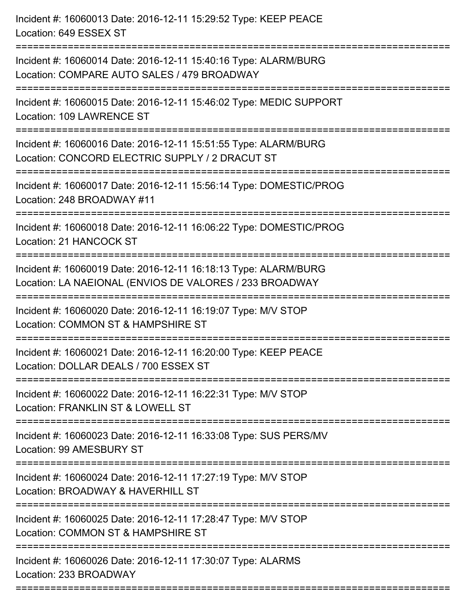| Incident #: 16060013 Date: 2016-12-11 15:29:52 Type: KEEP PEACE<br>Location: 649 ESSEX ST                                    |
|------------------------------------------------------------------------------------------------------------------------------|
| Incident #: 16060014 Date: 2016-12-11 15:40:16 Type: ALARM/BURG<br>Location: COMPARE AUTO SALES / 479 BROADWAY               |
| Incident #: 16060015 Date: 2016-12-11 15:46:02 Type: MEDIC SUPPORT<br>Location: 109 LAWRENCE ST                              |
| Incident #: 16060016 Date: 2016-12-11 15:51:55 Type: ALARM/BURG<br>Location: CONCORD ELECTRIC SUPPLY / 2 DRACUT ST           |
| Incident #: 16060017 Date: 2016-12-11 15:56:14 Type: DOMESTIC/PROG<br>Location: 248 BROADWAY #11                             |
| Incident #: 16060018 Date: 2016-12-11 16:06:22 Type: DOMESTIC/PROG<br>Location: 21 HANCOCK ST                                |
| Incident #: 16060019 Date: 2016-12-11 16:18:13 Type: ALARM/BURG<br>Location: LA NAEIONAL (ENVIOS DE VALORES / 233 BROADWAY   |
| Incident #: 16060020 Date: 2016-12-11 16:19:07 Type: M/V STOP<br>Location: COMMON ST & HAMPSHIRE ST                          |
| Incident #: 16060021 Date: 2016-12-11 16:20:00 Type: KEEP PEACE<br>Location: DOLLAR DEALS / 700 ESSEX ST                     |
| Incident #: 16060022 Date: 2016-12-11 16:22:31 Type: M/V STOP<br>Location: FRANKLIN ST & LOWELL ST                           |
| Incident #: 16060023 Date: 2016-12-11 16:33:08 Type: SUS PERS/MV<br>Location: 99 AMESBURY ST                                 |
| Incident #: 16060024 Date: 2016-12-11 17:27:19 Type: M/V STOP<br>Location: BROADWAY & HAVERHILL ST                           |
| =====================<br>Incident #: 16060025 Date: 2016-12-11 17:28:47 Type: M/V STOP<br>Location: COMMON ST & HAMPSHIRE ST |
| Incident #: 16060026 Date: 2016-12-11 17:30:07 Type: ALARMS<br>Location: 233 BROADWAY                                        |
|                                                                                                                              |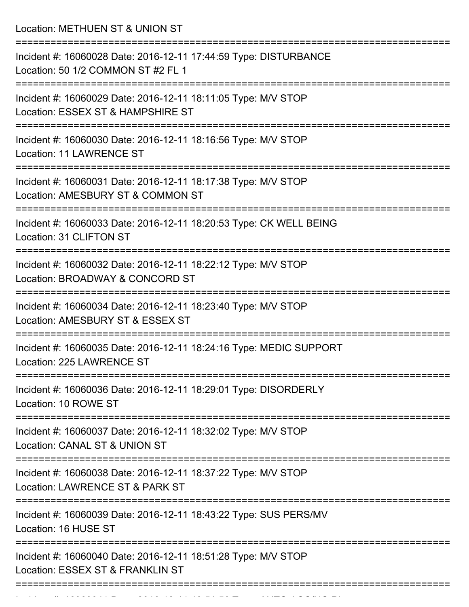Location: METHUEN ST & UNION ST =========================================================================== Incident #: 16060028 Date: 2016-12-11 17:44:59 Type: DISTURBANCE Location: 50 1/2 COMMON ST #2 FL 1 =========================================================================== Incident #: 16060029 Date: 2016-12-11 18:11:05 Type: M/V STOP Location: ESSEX ST & HAMPSHIRE ST =========================================================================== Incident #: 16060030 Date: 2016-12-11 18:16:56 Type: M/V STOP Location: 11 LAWRENCE ST =========================================================================== Incident #: 16060031 Date: 2016-12-11 18:17:38 Type: M/V STOP Location: AMESBURY ST & COMMON ST =========================================================================== Incident #: 16060033 Date: 2016-12-11 18:20:53 Type: CK WELL BEING Location: 31 CLIFTON ST =========================================================================== Incident #: 16060032 Date: 2016-12-11 18:22:12 Type: M/V STOP Location: BROADWAY & CONCORD ST =========================================================================== Incident #: 16060034 Date: 2016-12-11 18:23:40 Type: M/V STOP Location: AMESBURY ST & ESSEX ST =========================================================================== Incident #: 16060035 Date: 2016-12-11 18:24:16 Type: MEDIC SUPPORT Location: 225 LAWRENCE ST =========================================================================== Incident #: 16060036 Date: 2016-12-11 18:29:01 Type: DISORDERLY Location: 10 ROWE ST =========================================================================== Incident #: 16060037 Date: 2016-12-11 18:32:02 Type: M/V STOP Location: CANAL ST & UNION ST =========================================================================== Incident #: 16060038 Date: 2016-12-11 18:37:22 Type: M/V STOP Location: LAWRENCE ST & PARK ST =========================================================================== Incident #: 16060039 Date: 2016-12-11 18:43:22 Type: SUS PERS/MV Location: 16 HUSE ST =========================================================================== Incident #: 16060040 Date: 2016-12-11 18:51:28 Type: M/V STOP Location: ESSEX ST & FRANKLIN ST ===========================================================================

Incident #: 16060041 Date: 2016 12 11 16:51:56 Type: 2016 12 11 12 12 13 14:51:56 Type: 2016 12 14:51:56 Type:<br>.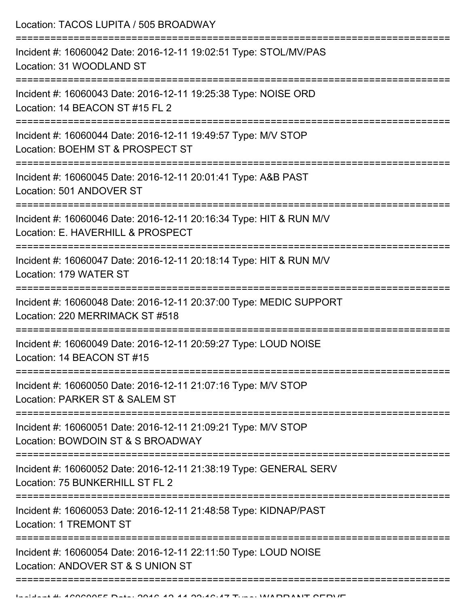Location: TACOS LUPITA / 505 BROADWAY =========================================================================== Incident #: 16060042 Date: 2016-12-11 19:02:51 Type: STOL/MV/PAS Location: 31 WOODLAND ST =========================================================================== Incident #: 16060043 Date: 2016-12-11 19:25:38 Type: NOISE ORD Location: 14 BEACON ST #15 FL 2 =========================================================================== Incident #: 16060044 Date: 2016-12-11 19:49:57 Type: M/V STOP Location: BOEHM ST & PROSPECT ST =========================================================================== Incident #: 16060045 Date: 2016-12-11 20:01:41 Type: A&B PAST Location: 501 ANDOVER ST =========================================================================== Incident #: 16060046 Date: 2016-12-11 20:16:34 Type: HIT & RUN M/V Location: E. HAVERHILL & PROSPECT =========================================================================== Incident #: 16060047 Date: 2016-12-11 20:18:14 Type: HIT & RUN M/V Location: 179 WATER ST =========================================================================== Incident #: 16060048 Date: 2016-12-11 20:37:00 Type: MEDIC SUPPORT Location: 220 MERRIMACK ST #518 =========================================================================== Incident #: 16060049 Date: 2016-12-11 20:59:27 Type: LOUD NOISE Location: 14 BEACON ST #15 =========================================================================== Incident #: 16060050 Date: 2016-12-11 21:07:16 Type: M/V STOP Location: PARKER ST & SALEM ST =========================================================================== Incident #: 16060051 Date: 2016-12-11 21:09:21 Type: M/V STOP Location: BOWDOIN ST & S BROADWAY =========================================================================== Incident #: 16060052 Date: 2016-12-11 21:38:19 Type: GENERAL SERV Location: 75 BUNKERHILL ST FL 2 =========================================================================== Incident #: 16060053 Date: 2016-12-11 21:48:58 Type: KIDNAP/PAST Location: 1 TREMONT ST =========================================================================== Incident #: 16060054 Date: 2016-12-11 22:11:50 Type: LOUD NOISE Location: ANDOVER ST & S UNION ST ============================